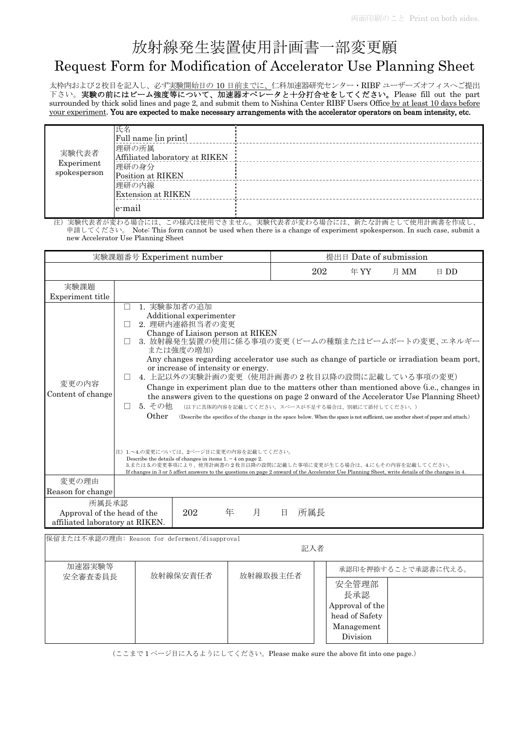# 放射線発生装置使用計画書一部変更願

# Request Form for Modification of Accelerator Use Planning Sheet

太枠内および2枚目を記入し、必ず実験開始日の 10 日前までに、仁科加速器研究センター・RIBF ユーザーズオフィスへご提出 下さい。実験の前にはビーム強度等について、加速器オペレータと十分打合せをしてください。Please fill out the part surrounded by thick solid lines and page 2, and submit them to Nishina Center RIBF Users Office by at least 10 days before your experiment. You are expected to make necessary arrangements with the accelerator operators on beam intensity, etc.

| 実験代表者<br>Experiment<br>spokesperson | 氏名<br>Full name [in print]<br>理研の所属<br>Affiliated laboratory at RIKEN<br>理研の身分<br>Position at RIKEN |  |
|-------------------------------------|-----------------------------------------------------------------------------------------------------|--|
|                                     | 理研の内線<br>Extension at RIKEN                                                                         |  |
|                                     | e-mail                                                                                              |  |

注)実験代表者が変わる場合には、この様式は使用できません。実験代表者が変わる場合には、新たな計画として使用計画書を作成し、 申請してください。 Note: This form cannot be used when there is a change of experiment spokesperson. In such case, submit a new Accelerator Use Planning Sheet

| 実験課題番号 Experiment number                                                            |                                                                                    | 提出日 Date of submission                                                                                                                                                                                               |                    |          |     |                                                                                                                                                                                                                                                                                                                                                                                                                                                                                                                 |      |                                                                                                                                                                                                                                                                                       |
|-------------------------------------------------------------------------------------|------------------------------------------------------------------------------------|----------------------------------------------------------------------------------------------------------------------------------------------------------------------------------------------------------------------|--------------------|----------|-----|-----------------------------------------------------------------------------------------------------------------------------------------------------------------------------------------------------------------------------------------------------------------------------------------------------------------------------------------------------------------------------------------------------------------------------------------------------------------------------------------------------------------|------|---------------------------------------------------------------------------------------------------------------------------------------------------------------------------------------------------------------------------------------------------------------------------------------|
|                                                                                     |                                                                                    |                                                                                                                                                                                                                      |                    |          | 202 | 年 YY                                                                                                                                                                                                                                                                                                                                                                                                                                                                                                            | 月 MM | $E$ DD                                                                                                                                                                                                                                                                                |
| 実験課題                                                                                |                                                                                    |                                                                                                                                                                                                                      |                    |          |     |                                                                                                                                                                                                                                                                                                                                                                                                                                                                                                                 |      |                                                                                                                                                                                                                                                                                       |
| Experiment title                                                                    |                                                                                    |                                                                                                                                                                                                                      |                    |          |     |                                                                                                                                                                                                                                                                                                                                                                                                                                                                                                                 |      |                                                                                                                                                                                                                                                                                       |
| 変更の内容<br>Content of change                                                          | П<br>П<br>П<br>5. その他<br>$\perp$<br>Other<br>注)1.~4.の変更については、2ページ目に変更の内容を記載してください。 | 1. 実験参加者の追加<br>Additional experimenter<br>2. 理研内連絡担当者の変更<br>Change of Liaison person at RIKEN<br>または強度の増加)<br>or increase of intensity or energy.<br>Describe the details of changes in items $1. \sim 4$ on page 2. |                    |          |     | 3. 放射線発生装置の使用に係る事項の変更(ビームの種類またはビームポートの変更、エネルギー<br>4. 上記以外の実験計画の変更(使用計画書の2枚目以降の設問に記載している事項の変更)<br>(以下に具体的内容を記載してください。スペースが不足する場合は、別紙にて添付してください。)<br>(Describe the specifics of the change in the space below. When the space is not sufficient, use another sheet of paper and attach.)<br>3.または5.の変更事項により、使用計画書の2枚目以降の設問に記載した事項に変更が生じる場合は、4.にもその内容を記載してください。<br>If changes in 3 or 5 affect answers to the questions on page 2 onward of the Accelerator Use Planning Sheet, write details of the changes in 4. |      | Any changes regarding accelerator use such as change of particle or irradiation beam port,<br>Change in experiment plan due to the matters other than mentioned above (i.e., changes in<br>the answers given to the questions on page 2 onward of the Accelerator Use Planning Sheet) |
| 変更の理由                                                                               |                                                                                    |                                                                                                                                                                                                                      |                    |          |     |                                                                                                                                                                                                                                                                                                                                                                                                                                                                                                                 |      |                                                                                                                                                                                                                                                                                       |
| Reason for change                                                                   |                                                                                    |                                                                                                                                                                                                                      |                    |          |     |                                                                                                                                                                                                                                                                                                                                                                                                                                                                                                                 |      |                                                                                                                                                                                                                                                                                       |
| 所属長承認<br>202<br>年<br>Approval of the head of the<br>affiliated laboratory at RIKEN. |                                                                                    | 月                                                                                                                                                                                                                    | 所属長<br>$\boxminus$ |          |     |                                                                                                                                                                                                                                                                                                                                                                                                                                                                                                                 |      |                                                                                                                                                                                                                                                                                       |
| 保留または不承認の理由: Reason for deferment/disapproval<br>記入者                                |                                                                                    |                                                                                                                                                                                                                      |                    |          |     |                                                                                                                                                                                                                                                                                                                                                                                                                                                                                                                 |      |                                                                                                                                                                                                                                                                                       |
| 加速器実験等<br>放射線保安責任者<br>安全審査委員長                                                       |                                                                                    |                                                                                                                                                                                                                      |                    | 放射線取扱主任者 |     | 承認印を押捺することで承認書に代える。                                                                                                                                                                                                                                                                                                                                                                                                                                                                                             |      |                                                                                                                                                                                                                                                                                       |
|                                                                                     |                                                                                    |                                                                                                                                                                                                                      |                    |          |     | 安全管理部<br>長承認<br>Approval of the<br>head of Safety<br>Management<br>Division                                                                                                                                                                                                                                                                                                                                                                                                                                     |      |                                                                                                                                                                                                                                                                                       |

(ここまで 1 ページ目に入るようにしてください。Please make sure the above fit into one page.)